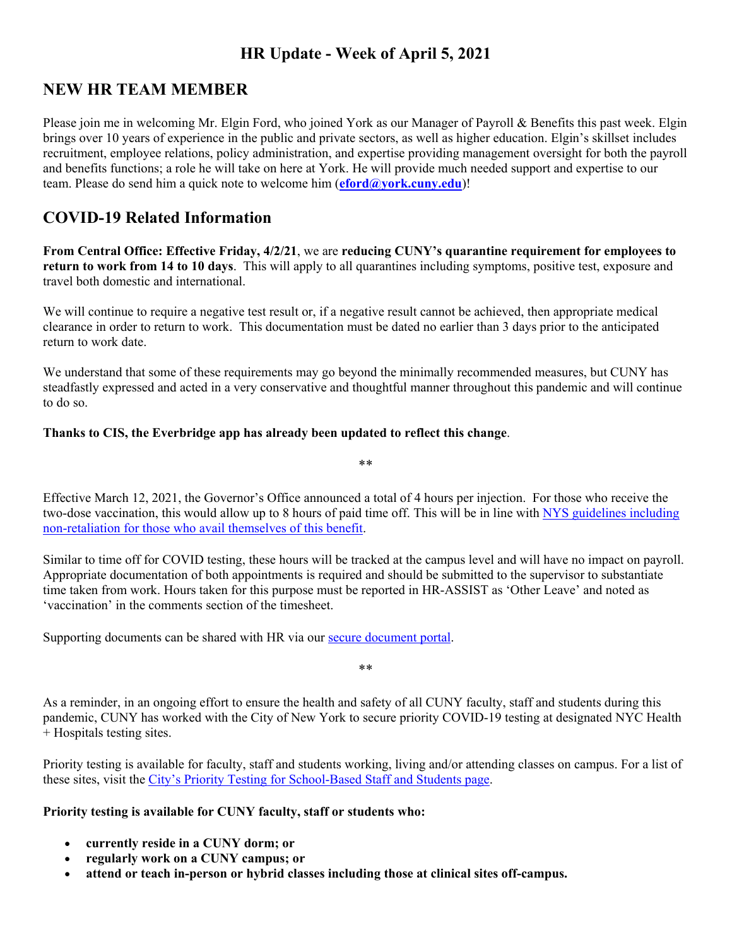# **HR Update - Week of April 5, 2021**

## **NEW HR TEAM MEMBER**

Please join me in welcoming Mr. Elgin Ford, who joined York as our Manager of Payroll & Benefits this past week. Elgin brings over 10 years of experience in the public and private sectors, as well as higher education. Elgin's skillset includes recruitment, employee relations, policy administration, and expertise providing management oversight for both the payroll and benefits functions; a role he will take on here at York. He will provide much needed support and expertise to our team. Please do send him a quick note to welcome him (**eford@york.cuny.edu**)!

## **COVID-19 Related Information**

**From Central Office: Effective Friday, 4/2/21**, we are **reducing CUNY's quarantine requirement for employees to return to work from 14 to 10 days**. This will apply to all quarantines including symptoms, positive test, exposure and travel both domestic and international.

We will continue to require a negative test result or, if a negative result cannot be achieved, then appropriate medical clearance in order to return to work. This documentation must be dated no earlier than 3 days prior to the anticipated return to work date.

We understand that some of these requirements may go beyond the minimally recommended measures, but CUNY has steadfastly expressed and acted in a very conservative and thoughtful manner throughout this pandemic and will continue to do so.

#### **Thanks to CIS, the Everbridge app has already been updated to reflect this change**.

Effective March 12, 2021, the Governor's Office announced a total of 4 hours per injection. For those who receive the two-dose vaccination, this would allow up to 8 hours of paid time off. This will be in line with NYS guidelines including non-retaliation for those who avail themselves of this benefit.

\*\*

Similar to time off for COVID testing, these hours will be tracked at the campus level and will have no impact on payroll. Appropriate documentation of both appointments is required and should be submitted to the supervisor to substantiate time taken from work. Hours taken for this purpose must be reported in HR-ASSIST as 'Other Leave' and noted as 'vaccination' in the comments section of the timesheet.

Supporting documents can be shared with HR via our secure document portal.

As a reminder, in an ongoing effort to ensure the health and safety of all CUNY faculty, staff and students during this pandemic, CUNY has worked with the City of New York to secure priority COVID-19 testing at designated NYC Health + Hospitals testing sites.

\*\*

Priority testing is available for faculty, staff and students working, living and/or attending classes on campus. For a list of these sites, visit the City's Priority Testing for School-Based Staff and Students page.

#### **Priority testing is available for CUNY faculty, staff or students who:**

- **currently reside in a CUNY dorm; or**
- **regularly work on a CUNY campus; or**
- **attend or teach in-person or hybrid classes including those at clinical sites off-campus.**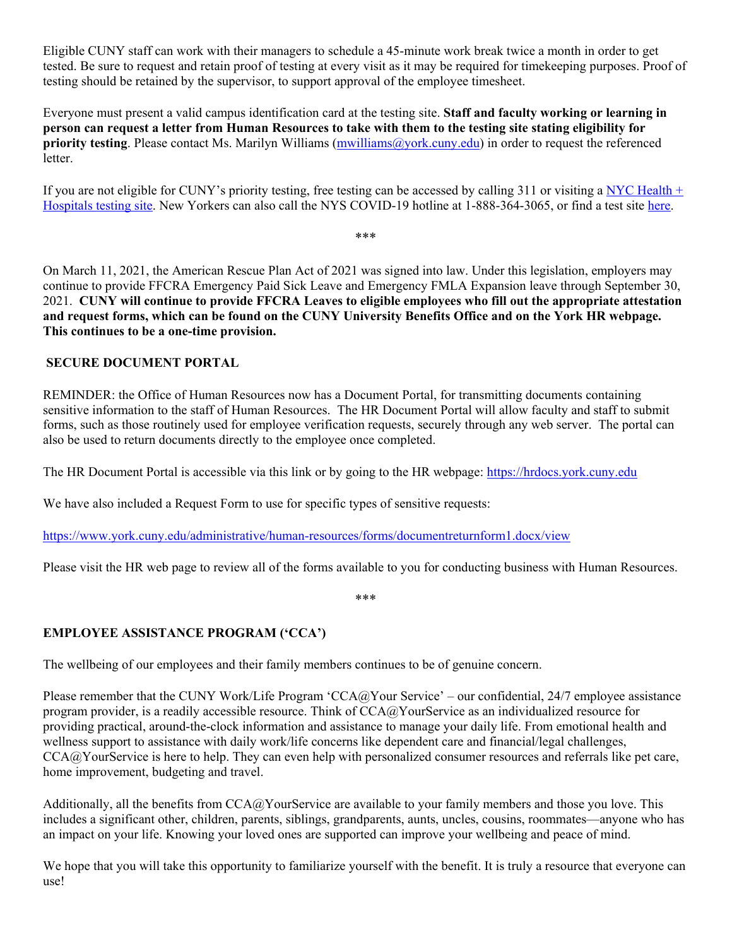Eligible CUNY staff can work with their managers to schedule a 45-minute work break twice a month in order to get tested. Be sure to request and retain proof of testing at every visit as it may be required for timekeeping purposes. Proof of testing should be retained by the supervisor, to support approval of the employee timesheet.

Everyone must present a valid campus identification card at the testing site. **Staff and faculty working or learning in person can request a letter from Human Resources to take with them to the testing site stating eligibility for priority testing**. Please contact Ms. Marilyn Williams (mwilliams@york.cuny.edu) in order to request the referenced letter.

If you are not eligible for CUNY's priority testing, free testing can be accessed by calling 311 or visiting a NYC Health  $+$ Hospitals testing site. New Yorkers can also call the NYS COVID-19 hotline at 1-888-364-3065, or find a test site here.

\*\*\*

On March 11, 2021, the American Rescue Plan Act of 2021 was signed into law. Under this legislation, employers may continue to provide FFCRA Emergency Paid Sick Leave and Emergency FMLA Expansion leave through September 30, 2021. **CUNY will continue to provide FFCRA Leaves to eligible employees who fill out the appropriate attestation and request forms, which can be found on the CUNY University Benefits Office and on the York HR webpage. This continues to be a one-time provision.** 

#### **SECURE DOCUMENT PORTAL**

REMINDER: the Office of Human Resources now has a Document Portal, for transmitting documents containing sensitive information to the staff of Human Resources. The HR Document Portal will allow faculty and staff to submit forms, such as those routinely used for employee verification requests, securely through any web server. The portal can also be used to return documents directly to the employee once completed.

The HR Document Portal is accessible via this link or by going to the HR webpage: https://hrdocs.york.cuny.edu

We have also included a Request Form to use for specific types of sensitive requests:

https://www.york.cuny.edu/administrative/human-resources/forms/documentreturnform1.docx/view

Please visit the HR web page to review all of the forms available to you for conducting business with Human Resources.

\*\*\*

#### **EMPLOYEE ASSISTANCE PROGRAM ('CCA')**

The wellbeing of our employees and their family members continues to be of genuine concern.

Please remember that the CUNY Work/Life Program 'CCA@Your Service' – our confidential, 24/7 employee assistance program provider, is a readily accessible resource. Think of CCA@YourService as an individualized resource for providing practical, around-the-clock information and assistance to manage your daily life. From emotional health and wellness support to assistance with daily work/life concerns like dependent care and financial/legal challenges, CCA@YourService is here to help. They can even help with personalized consumer resources and referrals like pet care, home improvement, budgeting and travel.

Additionally, all the benefits from  $CCA@Y$ ourService are available to your family members and those you love. This includes a significant other, children, parents, siblings, grandparents, aunts, uncles, cousins, roommates—anyone who has an impact on your life. Knowing your loved ones are supported can improve your wellbeing and peace of mind.

We hope that you will take this opportunity to familiarize yourself with the benefit. It is truly a resource that everyone can use!